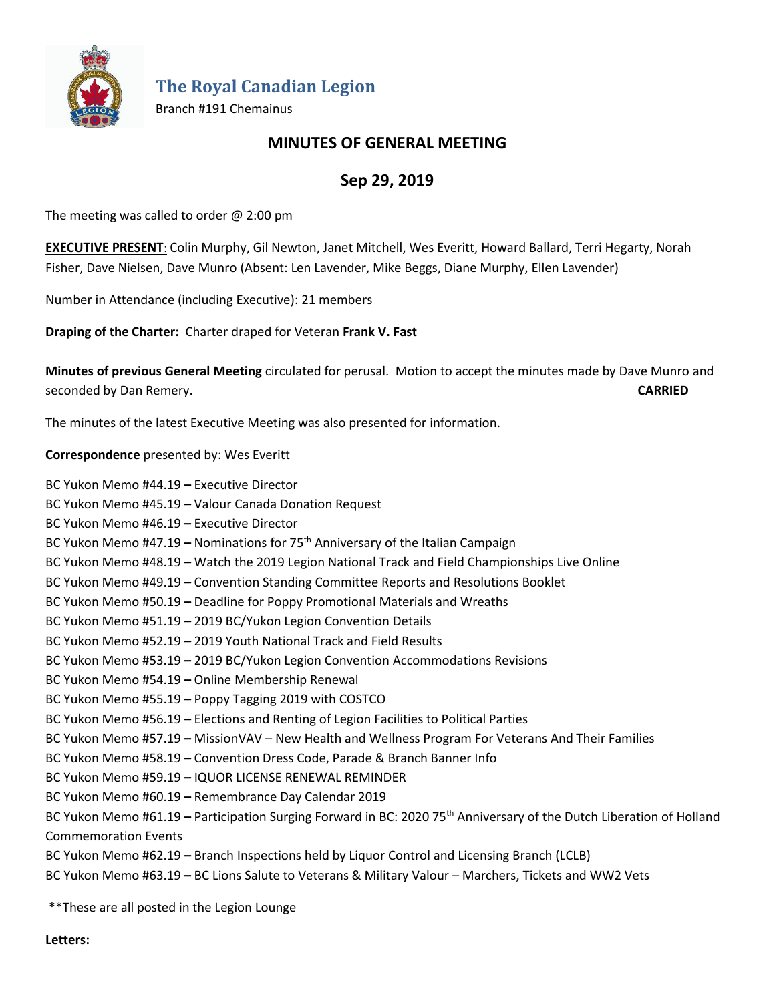

**The Royal Canadian Legion**

Branch #191 Chemainus

## **MINUTES OF GENERAL MEETING**

# **Sep 29, 2019**

The meeting was called to order @ 2:00 pm

**EXECUTIVE PRESENT**: Colin Murphy, Gil Newton, Janet Mitchell, Wes Everitt, Howard Ballard, Terri Hegarty, Norah Fisher, Dave Nielsen, Dave Munro (Absent: Len Lavender, Mike Beggs, Diane Murphy, Ellen Lavender)

Number in Attendance (including Executive): 21 members

**Draping of the Charter:** Charter draped for Veteran **Frank V. Fast**

**Minutes of previous General Meeting** circulated for perusal. Motion to accept the minutes made by Dave Munro and seconded by Dan Remery. **CARRIED**

The minutes of the latest Executive Meeting was also presented for information.

**Correspondence** presented by: Wes Everitt

BC Yukon Memo #44.19 **–** Executive Director

BC Yukon Memo #45.19 **–** Valour Canada Donation Request

BC Yukon Memo #46.19 **–** Executive Director

BC Yukon Memo #47.19 **–** Nominations for 75th Anniversary of the Italian Campaign

BC Yukon Memo #48.19 **–** Watch the 2019 Legion National Track and Field Championships Live Online

BC Yukon Memo #49.19 **–** Convention Standing Committee Reports and Resolutions Booklet

BC Yukon Memo #50.19 **–** Deadline for Poppy Promotional Materials and Wreaths

BC Yukon Memo #51.19 **–** 2019 BC/Yukon Legion Convention Details

BC Yukon Memo #52.19 **–** 2019 Youth National Track and Field Results

BC Yukon Memo #53.19 **–** 2019 BC/Yukon Legion Convention Accommodations Revisions

BC Yukon Memo #54.19 **–** Online Membership Renewal

BC Yukon Memo #55.19 **–** Poppy Tagging 2019 with COSTCO

BC Yukon Memo #56.19 **–** Elections and Renting of Legion Facilities to Political Parties

BC Yukon Memo #57.19 **–** MissionVAV – New Health and Wellness Program For Veterans And Their Families

BC Yukon Memo #58.19 **–** Convention Dress Code, Parade & Branch Banner Info

BC Yukon Memo #59.19 **–** IQUOR LICENSE RENEWAL REMINDER

BC Yukon Memo #60.19 **–** Remembrance Day Calendar 2019

BC Yukon Memo #61.19 - Participation Surging Forward in BC: 2020 75<sup>th</sup> Anniversary of the Dutch Liberation of Holland Commemoration Events

BC Yukon Memo #62.19 **–** Branch Inspections held by Liquor Control and Licensing Branch (LCLB)

BC Yukon Memo #63.19 **–** BC Lions Salute to Veterans & Military Valour – Marchers, Tickets and WW2 Vets

\*\*These are all posted in the Legion Lounge

**Letters:**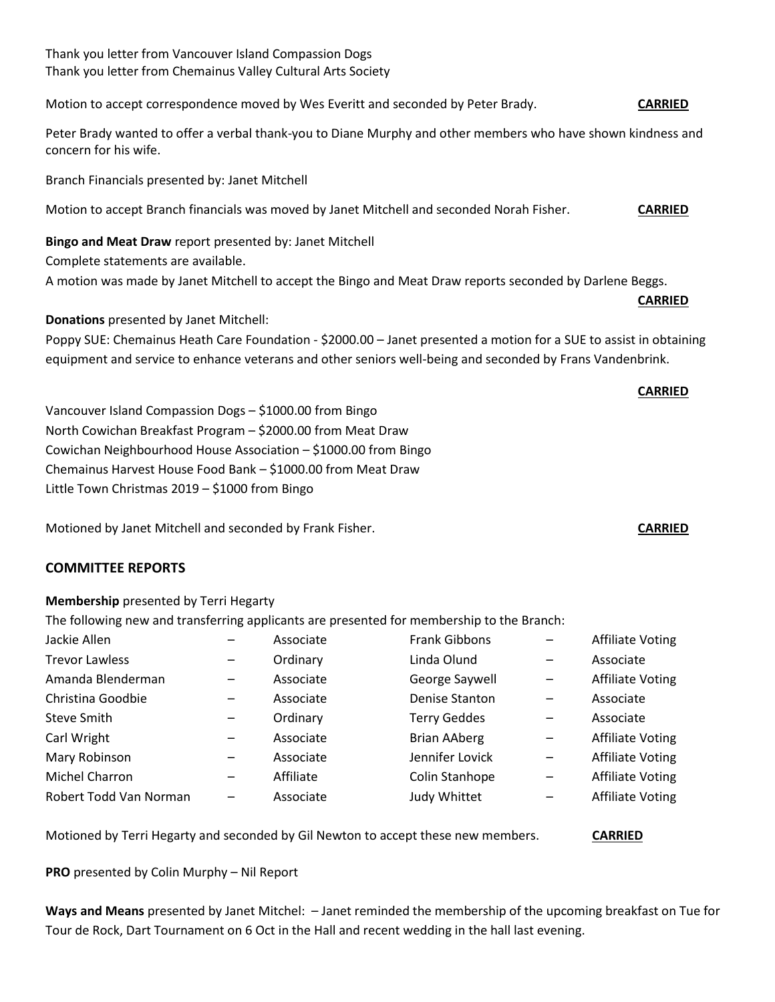### Thank you letter from Vancouver Island Compassion Dogs Thank you letter from Chemainus Valley Cultural Arts Society

Motion to accept correspondence moved by Wes Everitt and seconded by Peter Brady. **CARRIED** 

Peter Brady wanted to offer a verbal thank-you to Diane Murphy and other members who have shown kindness and concern for his wife.

Branch Financials presented by: Janet Mitchell

Motion to accept Branch financials was moved by Janet Mitchell and seconded Norah Fisher. **CARRIED**

**Bingo and Meat Draw** report presented by: Janet Mitchell Complete statements are available.

A motion was made by Janet Mitchell to accept the Bingo and Meat Draw reports seconded by Darlene Beggs.

**Donations** presented by Janet Mitchell:

Poppy SUE: Chemainus Heath Care Foundation - \$2000.00 – Janet presented a motion for a SUE to assist in obtaining equipment and service to enhance veterans and other seniors well-being and seconded by Frans Vandenbrink.

Vancouver Island Compassion Dogs – \$1000.00 from Bingo North Cowichan Breakfast Program – \$2000.00 from Meat Draw Cowichan Neighbourhood House Association – \$1000.00 from Bingo Chemainus Harvest House Food Bank – \$1000.00 from Meat Draw Little Town Christmas 2019 – \$1000 from Bingo

Motioned by Janet Mitchell and seconded by Frank Fisher. **CARRIED**

#### **COMMITTEE REPORTS**

#### **Membership** presented by Terri Hegarty

The following new and transferring applicants are presented for membership to the Branch:

| Linda Olund<br><b>Trevor Lawless</b><br>Ordinary<br>Associate<br>Amanda Blenderman<br>George Saywell<br>Associate<br>$\overline{\phantom{m}}$<br>Christina Goodbie<br>Denise Stanton<br>Associate<br>Associate<br>—<br>Steve Smith<br><b>Terry Geddes</b><br>Ordinary<br>Associate<br>$\qquad \qquad \qquad$<br>Carl Wright<br><b>Brian AAberg</b><br>Associate<br>$\overline{\phantom{m}}$<br>$\overline{\phantom{m}}$<br>Mary Robinson<br>Jennifer Lovick<br>Associate<br>$\overline{\phantom{m}}$<br>$\overline{\phantom{m}}$<br>Michel Charron<br>Colin Stanhope<br>Affiliate<br>$\overline{\phantom{m}}$<br>$\qquad \qquad \blacksquare$<br>Robert Todd Van Norman<br>Judy Whittet<br>Associate<br>$\overline{\phantom{m}}$<br>— | Jackie Allen | Associate | Frank Gibbons | <b>Affiliate Voting</b> |
|---------------------------------------------------------------------------------------------------------------------------------------------------------------------------------------------------------------------------------------------------------------------------------------------------------------------------------------------------------------------------------------------------------------------------------------------------------------------------------------------------------------------------------------------------------------------------------------------------------------------------------------------------------------------------------------------------------------------------------------|--------------|-----------|---------------|-------------------------|
|                                                                                                                                                                                                                                                                                                                                                                                                                                                                                                                                                                                                                                                                                                                                       |              |           |               |                         |
|                                                                                                                                                                                                                                                                                                                                                                                                                                                                                                                                                                                                                                                                                                                                       |              |           |               | <b>Affiliate Voting</b> |
|                                                                                                                                                                                                                                                                                                                                                                                                                                                                                                                                                                                                                                                                                                                                       |              |           |               |                         |
|                                                                                                                                                                                                                                                                                                                                                                                                                                                                                                                                                                                                                                                                                                                                       |              |           |               |                         |
|                                                                                                                                                                                                                                                                                                                                                                                                                                                                                                                                                                                                                                                                                                                                       |              |           |               | <b>Affiliate Voting</b> |
|                                                                                                                                                                                                                                                                                                                                                                                                                                                                                                                                                                                                                                                                                                                                       |              |           |               | <b>Affiliate Voting</b> |
|                                                                                                                                                                                                                                                                                                                                                                                                                                                                                                                                                                                                                                                                                                                                       |              |           |               | <b>Affiliate Voting</b> |
|                                                                                                                                                                                                                                                                                                                                                                                                                                                                                                                                                                                                                                                                                                                                       |              |           |               | <b>Affiliate Voting</b> |

Motioned by Terri Hegarty and seconded by Gil Newton to accept these new members. **CARRIED**

**PRO** presented by Colin Murphy – Nil Report

**Ways and Means** presented by Janet Mitchel: – Janet reminded the membership of the upcoming breakfast on Tue for Tour de Rock, Dart Tournament on 6 Oct in the Hall and recent wedding in the hall last evening.

# **CARRIED**

**CARRIED**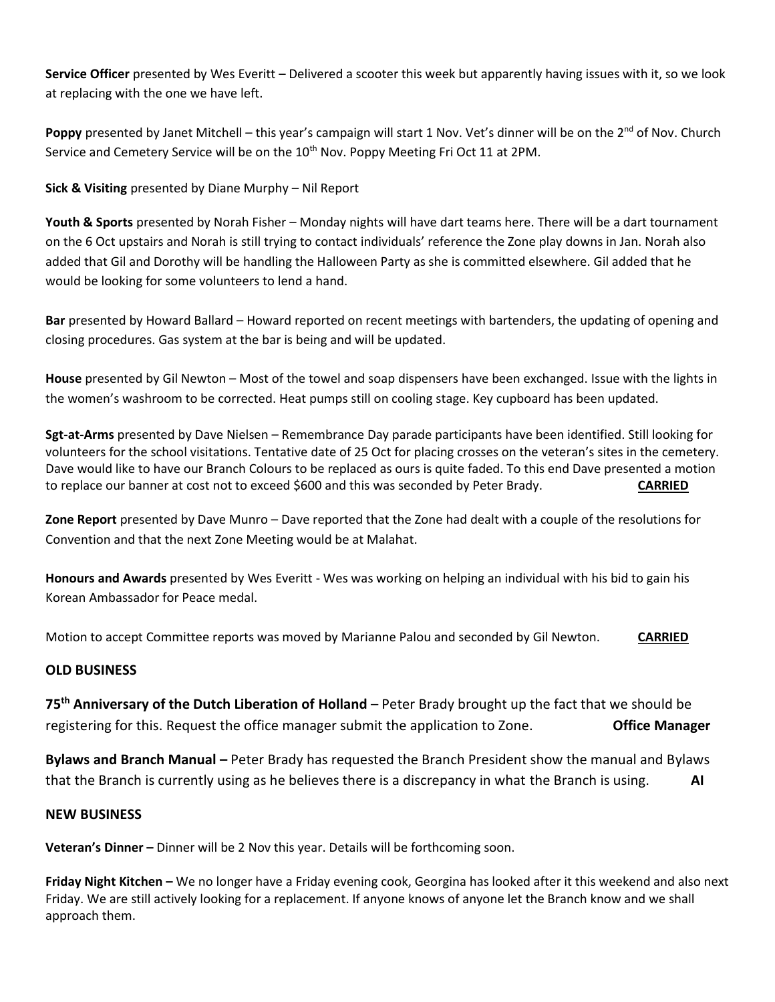**Service Officer** presented by Wes Everitt – Delivered a scooter this week but apparently having issues with it, so we look at replacing with the one we have left.

Poppy presented by Janet Mitchell – this year's campaign will start 1 Nov. Vet's dinner will be on the 2<sup>nd</sup> of Nov. Church Service and Cemetery Service will be on the 10<sup>th</sup> Nov. Poppy Meeting Fri Oct 11 at 2PM.

**Sick & Visiting** presented by Diane Murphy – Nil Report

**Youth & Sports** presented by Norah Fisher – Monday nights will have dart teams here. There will be a dart tournament on the 6 Oct upstairs and Norah is still trying to contact individuals' reference the Zone play downs in Jan. Norah also added that Gil and Dorothy will be handling the Halloween Party as she is committed elsewhere. Gil added that he would be looking for some volunteers to lend a hand.

**Bar** presented by Howard Ballard – Howard reported on recent meetings with bartenders, the updating of opening and closing procedures. Gas system at the bar is being and will be updated.

**House** presented by Gil Newton – Most of the towel and soap dispensers have been exchanged. Issue with the lights in the women's washroom to be corrected. Heat pumps still on cooling stage. Key cupboard has been updated.

**Sgt-at-Arms** presented by Dave Nielsen – Remembrance Day parade participants have been identified. Still looking for volunteers for the school visitations. Tentative date of 25 Oct for placing crosses on the veteran's sites in the cemetery. Dave would like to have our Branch Colours to be replaced as ours is quite faded. To this end Dave presented a motion to replace our banner at cost not to exceed \$600 and this was seconded by Peter Brady. **CARRIED**

**Zone Report** presented by Dave Munro – Dave reported that the Zone had dealt with a couple of the resolutions for Convention and that the next Zone Meeting would be at Malahat.

**Honours and Awards** presented by Wes Everitt - Wes was working on helping an individual with his bid to gain his Korean Ambassador for Peace medal.

Motion to accept Committee reports was moved by Marianne Palou and seconded by Gil Newton. **CARRIED**

## **OLD BUSINESS**

**75th Anniversary of the Dutch Liberation of Holland** – Peter Brady brought up the fact that we should be registering for this. Request the office manager submit the application to Zone. **Office Manager**

**Bylaws and Branch Manual –** Peter Brady has requested the Branch President show the manual and Bylaws that the Branch is currently using as he believes there is a discrepancy in what the Branch is using. **AI** 

#### **NEW BUSINESS**

**Veteran's Dinner –** Dinner will be 2 Nov this year. Details will be forthcoming soon.

**Friday Night Kitchen –** We no longer have a Friday evening cook, Georgina has looked after it this weekend and also next Friday. We are still actively looking for a replacement. If anyone knows of anyone let the Branch know and we shall approach them.